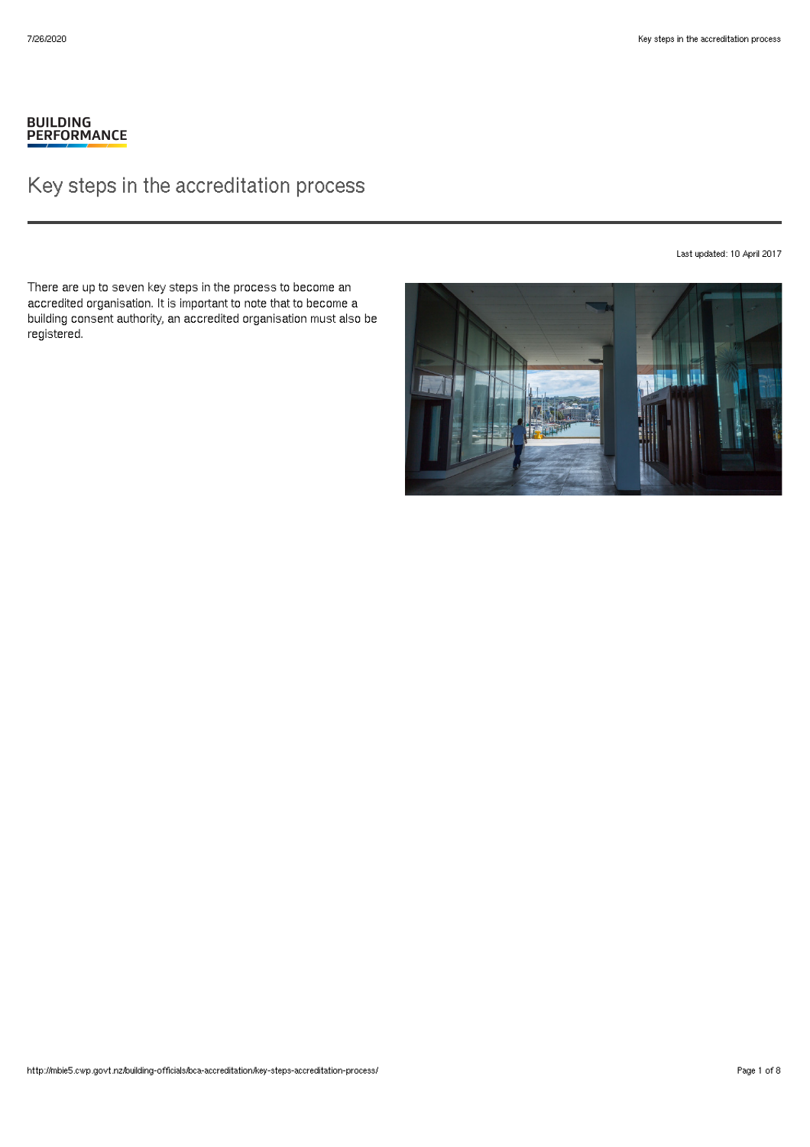# BUILDING<br>PERFORMANCE

# Key steps in the accreditation process

Last updated: 10 April 2017

There are up to seven key steps in the process to become an accredited organisation. It is important to note that to become a building consent authority, an accredited organisation must also be registered.

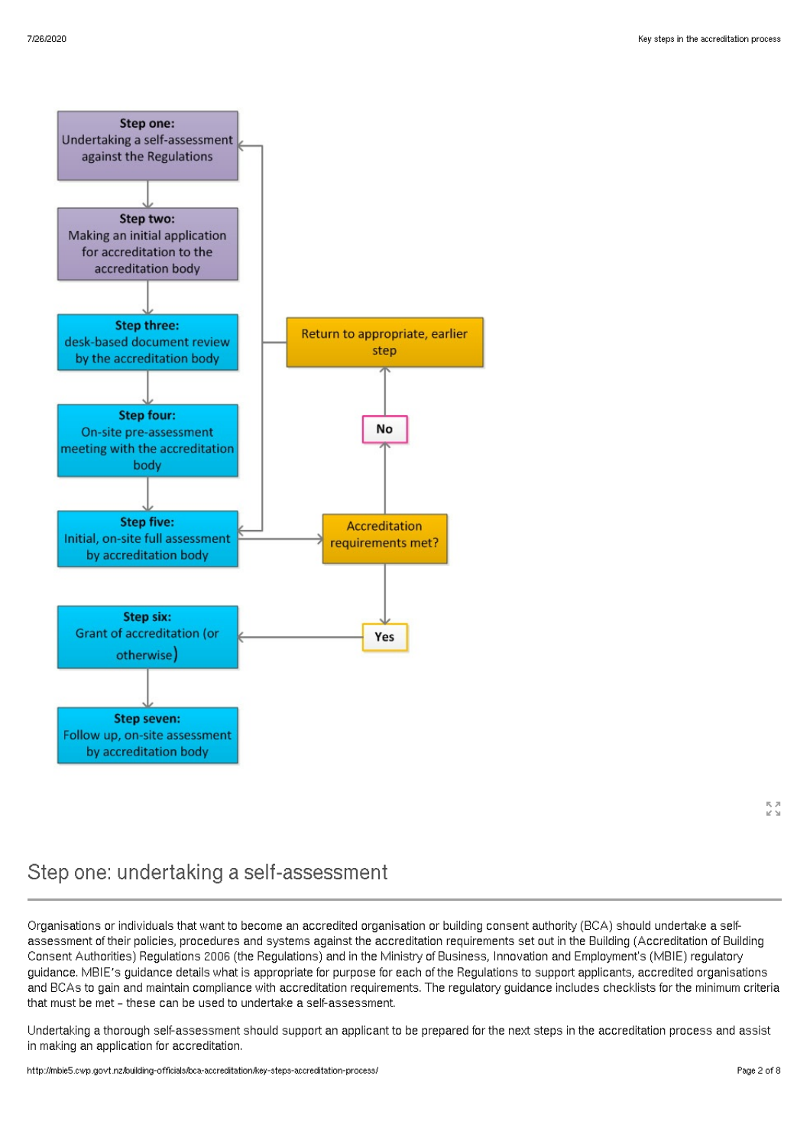

# Step one: undertaking a self-assessment

Organisations or individuals that want to become an accredited organisation or building consent authority (BCA) should undertake a selfassessment of their policies, procedures and systems against the accreditation requirements set out in the Building (Accreditation of Building Consent Authorities) Regulations 2006 (the Regulations) and in the Ministry of Business, Innovation and Employment's (MBIE) regulatory guidance. MBIE's guidance details what is appropriate for purpose for each of the Regulations to support applicants, accredited organisations and BCAs to gain and maintain compliance with accreditation requirements. The regulatory guidance includes checklists for the minimum criteria that must be met – these can be used to undertake a self-assessment.

Undertaking a thorough self-assessment should support an applicant to be prepared for the next steps in the accreditation process and assist in making an application for accreditation.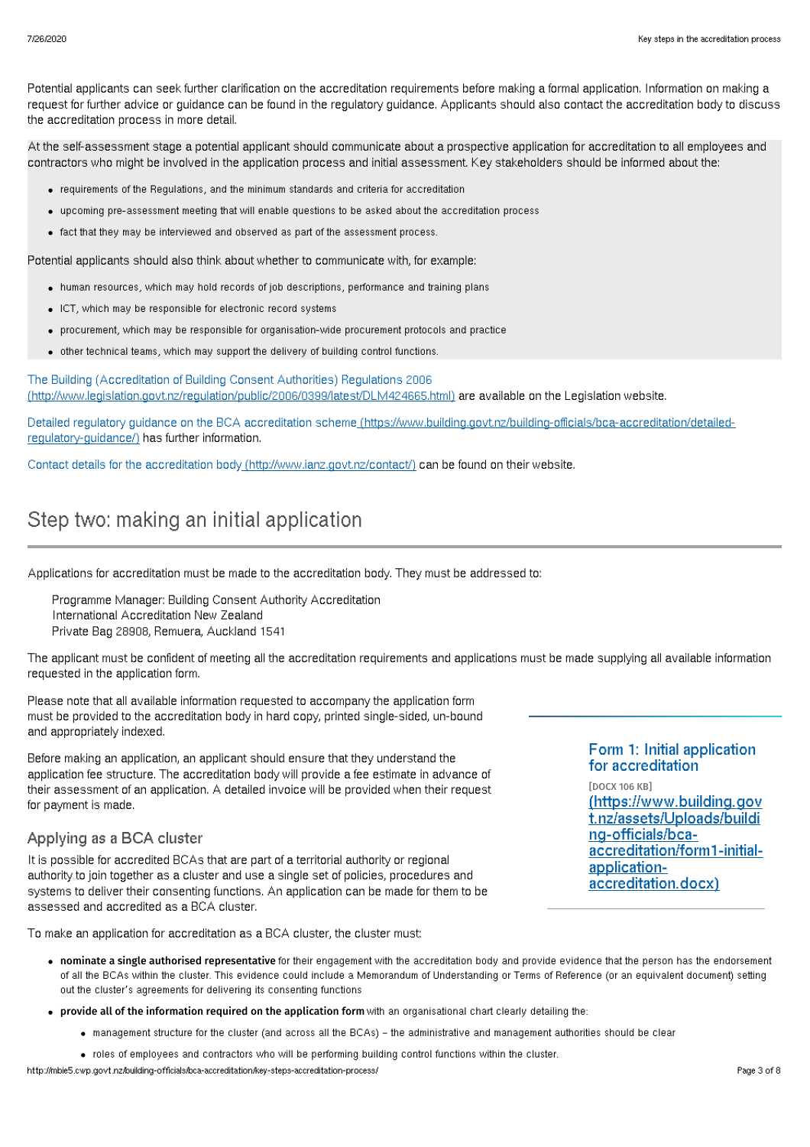Potential applicants can seek further clarification on the accreditation requirements before making a formal application. Information on making a request for further advice or guidance can be found in the regulatory guidance. Applicants should also contact the accreditation body to discuss the accreditation process in more detail.

At the self-assessment stage a potential applicant should communicate about a prospective application for accreditation to all employees and contractors who might be involved in the application process and initial assessment. Key stakeholders should be informed about the:

- requirements of the Regulations, and the minimum standards and criteria for accreditation
- upcoming pre-assessment meeting that will enable questions to be asked about the accreditation process
- fact that they may be interviewed and observed as part of the assessment process.

Potential applicants should also think about whether to communicate with, for example:

- human resources, which may hold records of job descriptions, performance and training plans
- ICT, which may be responsible for electronic record systems
- procurement, which may be responsible for organisation-wide procurement protocols and practice
- other technical teams, which may support the delivery of building control functions.

The Building (Accreditation of Building Consent Authorities) Regulations 2006 [\(http://www.legislation.govt.nz/regulation/public/2006/0399/latest/DLM424665.html\)](http://www.legislation.govt.nz/regulation/public/2006/0399/latest/DLM424665.html) are available on the Legislation website.

Detailed regulatory guidance on the BCA accreditation scheme [\(https://www.building.govt.nz/building-officials/bca-accreditation/detailed](http://mbie5.cwp.govt.nz/building-officials/bca-accreditation/detailed-regulatory-guidance/)regulatory-guidance/) has further information.

Contact details for the accreditation body [\(http://www.ianz.govt.nz/contact/\)](http://www.ianz.govt.nz/contact/) can be found on their website.

# Step two: making an initial application

Applications for accreditation must be made to the accreditation body. They must be addressed to:

Programme Manager: Building Consent Authority Accreditation International Accreditation New Zealand Private Bag 28908, Remuera, Auckland 1541

The applicant must be confident of meeting all the accreditation requirements and applications must be made supplying all available information requested in the application form.

Please note that all available information requested to accompany the application form must be provided to the accreditation body in hard copy, printed single-sided, un-bound and appropriately indexed.

Before making an application, an applicant should ensure that they understand the application fee structure. The accreditation body will provide a fee estimate in advance of their assessment of an application. A detailed invoice will be provided when their request for payment is made.

### Applying as a BCA cluster

It is possible for accredited BCAs that are part of a territorial authority or regional authority to join together as a cluster and use a single set of policies, procedures and systems to deliver their consenting functions. An application can be made for them to be assessed and accredited as a BCA cluster.

To make an application for accreditation as a BCA cluster, the cluster must:

#### Form 1: Initial application for accreditation

[DOCX 106 KB] [\(https://www.building.gov](http://mbie5.cwp.govt.nz/assets/Uploads/building-officials/bca-accreditation/form1-initial-application-accreditation.docx) t.nz/assets/Uploads/buildi ng-officials/bcaaccreditation/form1-initialapplicationaccreditation.docx)

- nominate a single authorised representative for their engagement with the accreditation body and provide evidence that the person has the endorsement of all the BCAs within the cluster. This evidence could include a Memorandum of Understanding or Terms of Reference (or an equivalent document) setting out the cluster's agreements for delivering its consenting functions
- provide all of the information required on the application form with an organisational chart clearly detailing the:
	- management structure for the cluster (and across all the BCAs) the administrative and management authorities should be clear
	- roles of employees and contractors who will be performing building control functions within the cluster.

http://mbie5.cwp.govt.nz/building-officials/bca-accreditation/key-steps-accreditation-process/ Page 3 of 8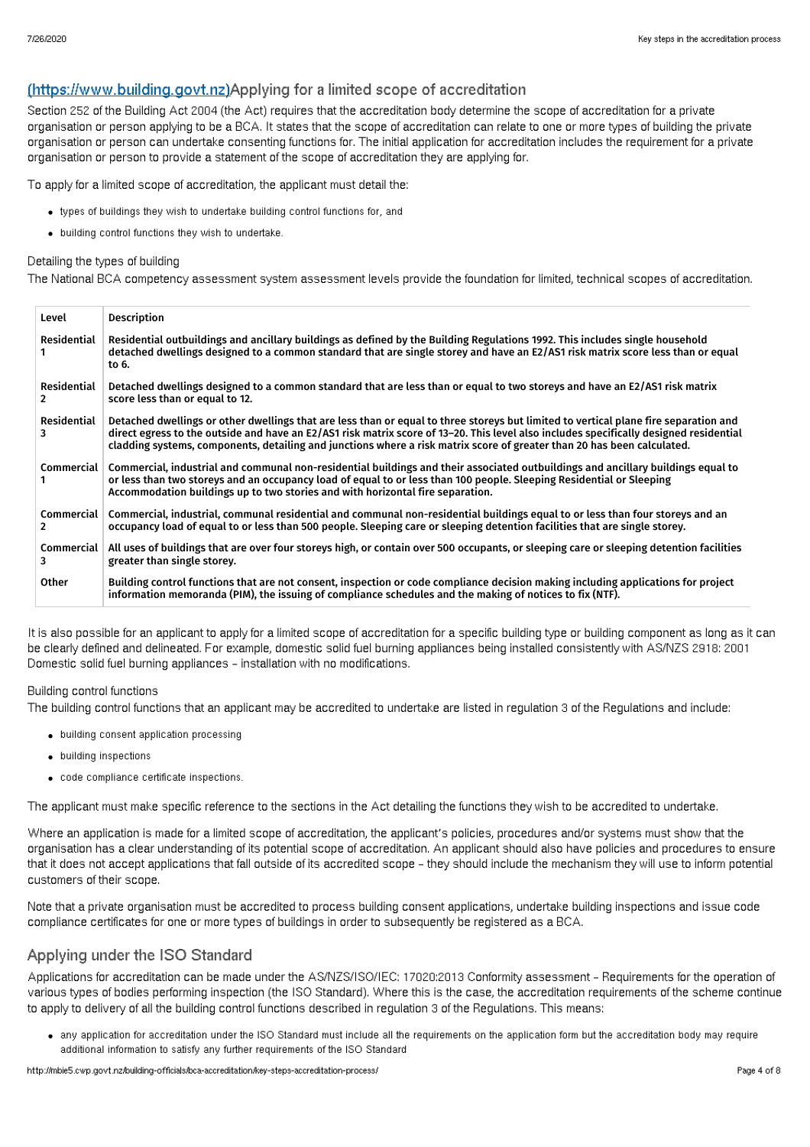### (https://www.building.govt.nz)Applying for a limited scope of accreditation

Section 252 of the Building Act 2004 (the Act) requires that the accreditation body determine the scope of accreditation for a private organisation or person applying to be a BCA. It states that the scope of accreditation can relate to one or more types of building the private organisation or person can undertake consenting functions for. The initial application for accreditation includes the requirement for a private organisation or person to provide a statement of the scope of accreditation they are applying for.

To apply for a limited scope of accreditation, the applicant must detail the:

- types of buildings they wish to undertake building control functions for, and
- building control functions they wish to undertake.

### Detailing the types of building

The National BCA competency assessment system assessment levels provide the foundation for limited, technical scopes of accreditation.

| Level                  | <b>Description</b>                                                                                                                                                                                                                                                                                                                                                                                        |
|------------------------|-----------------------------------------------------------------------------------------------------------------------------------------------------------------------------------------------------------------------------------------------------------------------------------------------------------------------------------------------------------------------------------------------------------|
| Residential            | Residential outbuildings and ancillary buildings as defined by the Building Regulations 1992. This includes single household<br>detached dwellings designed to a common standard that are single storey and have an E2/AS1 risk matrix score less than or equal<br>to 6.                                                                                                                                  |
| Residential<br>2       | Detached dwellings designed to a common standard that are less than or equal to two storeys and have an E2/AS1 risk matrix<br>score less than or equal to 12.                                                                                                                                                                                                                                             |
| Residential<br>3       | Detached dwellings or other dwellings that are less than or equal to three storeys but limited to vertical plane fire separation and<br>direct egress to the outside and have an E2/AS1 risk matrix score of 13-20. This level also includes specifically designed residential<br>cladding systems, components, detailing and junctions where a risk matrix score of greater than 20 has been calculated. |
| Commercial             | Commercial, industrial and communal non-residential buildings and their associated outbuildings and ancillary buildings equal to<br>or less than two storeys and an occupancy load of equal to or less than 100 people. Sleeping Residential or Sleeping<br>Accommodation buildings up to two stories and with horizontal fire separation.                                                                |
| <b>Commercial</b><br>2 | Commercial, industrial, communal residential and communal non-residential buildings equal to or less than four storeys and an<br>occupancy load of equal to or less than 500 people. Sleeping care or sleeping detention facilities that are single storey.                                                                                                                                               |
| Commercial<br>3        | All uses of buildings that are over four storeys high, or contain over 500 occupants, or sleeping care or sleeping detention facilities<br>greater than single storey.                                                                                                                                                                                                                                    |
| Other                  | Building control functions that are not consent, inspection or code compliance decision making including applications for project<br>information memoranda (PIM), the issuing of compliance schedules and the making of notices to fix (NTF).                                                                                                                                                             |

It is also possible for an applicant to apply for a limited scope of accreditation for a specific building type or building component as long as it can be clearly defined and delineated. For example, domestic solid fuel burning appliances being installed consistently with AS/NZS 2918: 2001 Domestic solid fuel burning appliances – installation with no modifications.

#### Building control functions

The building control functions that an applicant may be accredited to undertake are listed in regulation 3 of the Regulations and include:

- building consent application processing
- building inspections
- code compliance certificate inspections.

The applicant must make specific reference to the sections in the Act detailing the functions they wish to be accredited to undertake.

Where an application is made for a limited scope of accreditation, the applicant's policies, procedures and/or systems must show that the organisation has a clear understanding of its potential scope of accreditation. An applicant should also have policies and procedures to ensure that it does not accept applications that fall outside of its accredited scope – they should include the mechanism they will use to inform potential customers of their scope.

Note that a private organisation must be accredited to process building consent applications, undertake building inspections and issue code compliance certificates for one or more types of buildings in order to subsequently be registered as a BCA.

### Applying under the ISO Standard

Applications for accreditation can be made under the AS/NZS/ISO/IEC: 17020:2013 Conformity assessment – Requirements for the operation of various types of bodies performing inspection (the ISO Standard). Where this is the case, the accreditation requirements of the scheme continue to apply to delivery of all the building control functions described in regulation 3 of the Regulations. This means:

any application for accreditation under the ISO Standard must include all the requirements on the application form but the accreditation body may require additional information to satisfy any further requirements of the ISO Standard

http://mbie5.cwp.govt.nz/building-officials/bca-accreditation/key-steps-accreditation-process/ Page 4 of 8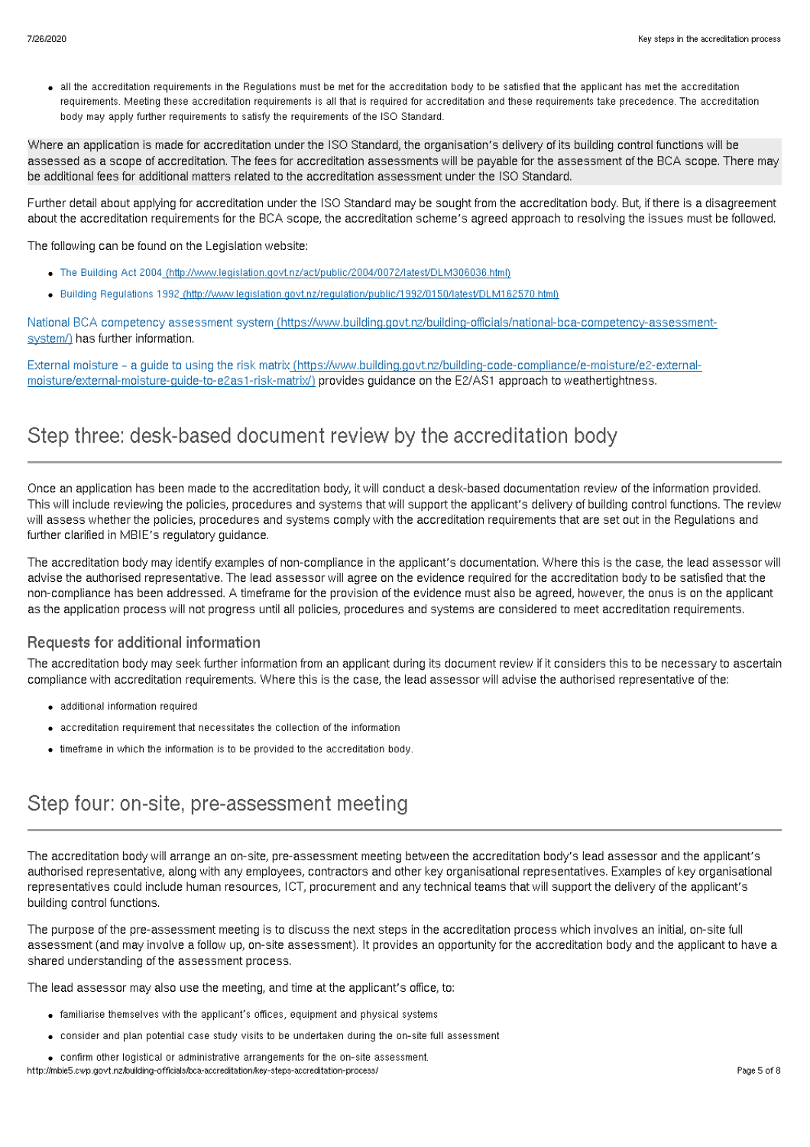all the accreditation requirements in the Regulations must be met for the accreditation body to be satisfied that the applicant has met the accreditation requirements. Meeting these accreditation requirements is all that is required for accreditation and these requirements take precedence. The accreditation body may apply further requirements to satisfy the requirements of the ISO Standard.

Where an application is made for accreditation under the ISO Standard, the organisation's delivery of its building control functions will be assessed as a scope of accreditation. The fees for accreditation assessments will be payable for the assessment of the BCA scope. There may be additional fees for additional matters related to the accreditation assessment under the ISO Standard.

Further detail about applying for accreditation under the ISO Standard may be sought from the accreditation body. But, if there is a disagreement about the accreditation requirements for the BCA scope, the accreditation scheme's agreed approach to resolving the issues must be followed.

The following can be found on the Legislation website:

- The Building Act 2004 [\(http://www.legislation.govt.nz/act/public/2004/0072/latest/DLM306036.html\)](http://www.legislation.govt.nz/act/public/2004/0072/latest/DLM306036.html)
- Building Regulations 1992 [\(http://www.legislation.govt.nz/regulation/public/1992/0150/latest/DLM162570.html\)](http://www.legislation.govt.nz/regulation/public/1992/0150/latest/DLM162570.html)

National BCA competency assessment system [\(https://www.building.govt.nz/building-officials/national-bca-competency-assessment](https://www.building.govt.nz/building-officials/national-bca-competency-assessment-system/)system/) has further information.

External moisture – a guide to using the risk matrix [\(https://www.building.govt.nz/building-code-compliance/e-moisture/e2-external](http://mbie5.cwp.govt.nz/building-code-compliance/e-moisture/e2-external-moisture/external-moisture-guide-to-e2as1-risk-matrix/)moisture/external-moisture-guide-to-e2as1-risk-matrix/) provides guidance on the E2/AS1 approach to weathertightness.

# Step three: desk-based document review by the accreditation body

Once an application has been made to the accreditation body, it will conduct a desk-based documentation review of the information provided. This will include reviewing the policies, procedures and systems that will support the applicant's delivery of building control functions. The review will assess whether the policies, procedures and systems comply with the accreditation requirements that are set out in the Requlations and further clarified in MBIE's regulatory guidance.

The accreditation body may identify examples of non-compliance in the applicant's documentation. Where this is the case, the lead assessor will advise the authorised representative. The lead assessor will agree on the evidence required for the accreditation body to be satisfied that the non-compliance has been addressed. A timeframe for the provision of the evidence must also be agreed, however, the onus is on the applicant as the application process will not progress until all policies, procedures and systems are considered to meet accreditation requirements.

#### Requests for additional information

The accreditation body may seek further information from an applicant during its document review if it considers this to be necessary to ascertain compliance with accreditation requirements. Where this is the case, the lead assessor will advise the authorised representative of the:

- additional information required
- accreditation requirement that necessitates the collection of the information
- timeframe in which the information is to be provided to the accreditation body.

### Step four: on-site, pre-assessment meeting

The accreditation body will arrange an on-site, pre-assessment meeting between the accreditation body's lead assessor and the applicant's authorised representative, along with any employees, contractors and other key organisational representatives. Examples of key organisational representatives could include human resources, ICT, procurement and any technical teams that will support the delivery of the applicant's building control functions.

The purpose of the pre-assessment meeting is to discuss the next steps in the accreditation process which involves an initial, on-site full assessment (and may involve a follow up, on-site assessment). It provides an opportunity for the accreditation body and the applicant to have a shared understanding of the assessment process.

The lead assessor may also use the meeting, and time at the applicant's office, to:

- familiarise themselves with the applicant's offices, equipment and physical systems
- consider and plan potential case study visits to be undertaken during the on-site full assessment
- confirm other logistical or administrative arrangements for the on-site assessment.

#### http://mbie5.cwp.govt.nz/building-officials/bca-accreditation/key-steps-accreditation-process/ Page 5 of 8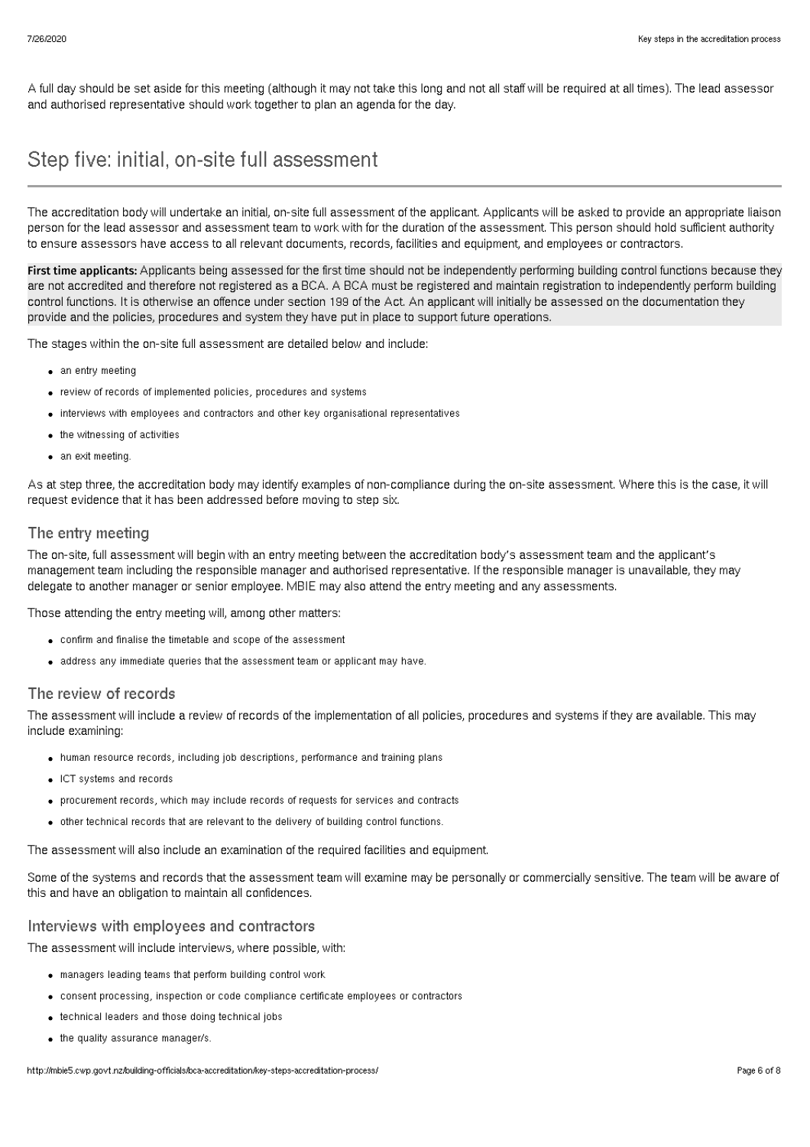A full day should be set aside for this meeting (although it may not take this long and not all staff will be required at all times). The lead assessor and authorised representative should work together to plan an agenda for the day.

### Step five: initial, on-site full assessment

The accreditation body will undertake an initial, on-site full assessment of the applicant. Applicants will be asked to provide an appropriate liaison person for the lead assessor and assessment team to work with for the duration of the assessment. This person should hold sufficient authority to ensure assessors have access to all relevant documents, records, facilities and equipment, and employees or contractors.

First time applicants: Applicants being assessed for the first time should not be independently performing building control functions because they are not accredited and therefore not registered as a BCA. A BCA must be registered and maintain registration to independently perform building control functions. It is otherwise an offence under section 199 of the Act. An applicant will initially be assessed on the documentation they provide and the policies, procedures and system they have put in place to support future operations.

The stages within the on-site full assessment are detailed below and include:

- an entry meeting
- review of records of implemented policies, procedures and systems
- interviews with employees and contractors and other key organisational representatives
- the witnessing of activities
- an exit meeting.

As at step three, the accreditation body may identify examples of non-compliance during the on-site assessment. Where this is the case, it will request evidence that it has been addressed before moving to step six.

#### The entry meeting

The on-site, full assessment will begin with an entry meeting between the accreditation body's assessment team and the applicant's management team including the responsible manager and authorised representative. If the responsible manager is unavailable, they may delegate to another manager or senior employee. MBIE may also attend the entry meeting and any assessments.

Those attending the entry meeting will, among other matters:

- confirm and finalise the timetable and scope of the assessment
- address any immediate queries that the assessment team or applicant may have.

#### The review of records

The assessment will include a review of records of the implementation of all policies, procedures and systems if they are available. This may include examining:

- human resource records, including job descriptions, performance and training plans
- ICT systems and records
- procurement records, which may include records of requests for services and contracts
- other technical records that are relevant to the delivery of building control functions.

The assessment will also include an examination of the required facilities and equipment.

Some of the systems and records that the assessment team will examine may be personally or commercially sensitive. The team will be aware of this and have an obligation to maintain all confidences.

### Interviews with employees and contractors

The assessment will include interviews, where possible, with:

- managers leading teams that perform building control work
- consent processing, inspection or code compliance certificate employees or contractors
- technical leaders and those doing technical jobs
- the quality assurance manager/s.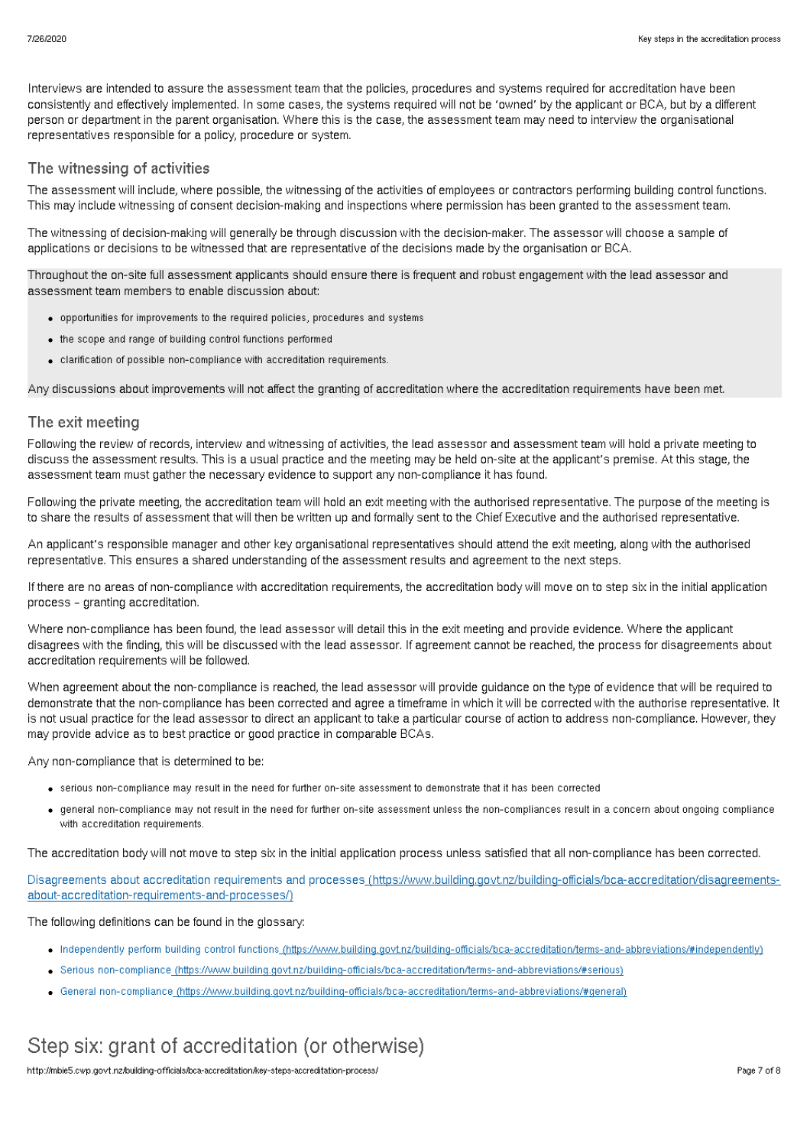Interviews are intended to assure the assessment team that the policies, procedures and systems required for accreditation have been consistently and effectively implemented. In some cases, the systems required will not be 'owned' by the applicant or BCA, but by a different person or department in the parent organisation. Where this is the case, the assessment team may need to interview the organisational representatives responsible for a policy, procedure or system.

### The witnessing of activities

The assessment will include, where possible, the witnessing of the activities of employees or contractors performing building control functions. This may include witnessing of consent decision-making and inspections where permission has been granted to the assessment team.

The witnessing of decision-making will generally be through discussion with the decision-maker. The assessor will choose a sample of applications or decisions to be witnessed that are representative of the decisions made by the organisation or BCA.

Throughout the on-site full assessment applicants should ensure there is frequent and robust engagement with the lead assessor and assessment team members to enable discussion about:

- opportunities for improvements to the required policies, procedures and systems
- the scope and range of building control functions performed
- clarification of possible non-compliance with accreditation requirements.

Any discussions about improvements will not affect the granting of accreditation where the accreditation requirements have been met.

#### The exit meeting

Following the review of records, interview and witnessing of activities, the lead assessor and assessment team will hold a private meeting to discuss the assessment results. This is a usual practice and the meeting may be held on-site at the applicant's premise. At this stage, the assessment team must gather the necessary evidence to support any non-compliance it has found.

Following the private meeting, the accreditation team will hold an exit meeting with the authorised representative. The purpose of the meeting is to share the results of assessment that will then be written up and formally sent to the Chief Executive and the authorised representative.

An applicant's responsible manager and other key organisational representatives should attend the exit meeting, along with the authorised representative. This ensures a shared understanding of the assessment results and agreement to the next steps.

If there are no areas of non-compliance with accreditation requirements, the accreditation body will move on to step six in the initial application process – granting accreditation.

Where non-compliance has been found, the lead assessor will detail this in the exit meeting and provide evidence. Where the applicant disagrees with the finding, this will be discussed with the lead assessor. If agreement cannot be reached, the process for disagreements about accreditation requirements will be followed.

When agreement about the non-compliance is reached, the lead assessor will provide guidance on the type of evidence that will be required to demonstrate that the non-compliance has been corrected and agree a timeframe in which it will be corrected with the authorise representative. It is not usual practice for the lead assessor to direct an applicant to take a particular course of action to address non-compliance. However, they may provide advice as to best practice or good practice in comparable BCAs.

Any non-compliance that is determined to be:

- serious non-compliance may result in the need for further on-site assessment to demonstrate that it has been corrected
- general non-compliance may not result in the need for further on-site assessment unless the non-compliances result in a concern about ongoing compliance with accreditation requirements.

The accreditation body will not move to step six in the initial application process unless satisfied that all non-compliance has been corrected.

Disagreements about accreditation requirements and processes [\(https://www.building.govt.nz/building-officials/bca-accreditation/disagreements](http://mbie5.cwp.govt.nz/building-officials/bca-accreditation/disagreements-about-accreditation-requirements-and-processes/)about-accreditation-requirements-and-processes/)

The following definitions can be found in the glossary:

- Independently perform building control functions [\(https://www.building.govt.nz/building-officials/bca-accreditation/terms-and-abbreviations/#independently\)](http://mbie5.cwp.govt.nz/building-officials/bca-accreditation/terms-and-abbreviations/#independently)
- Serious non-compliance [\(https://www.building.govt.nz/building-officials/bca-accreditation/terms-and-abbreviations/#serious\)](http://mbie5.cwp.govt.nz/building-officials/bca-accreditation/terms-and-abbreviations/#serious)
- General non-compliance [\(https://www.building.govt.nz/building-officials/bca-accreditation/terms-and-abbreviations/#general\)](http://mbie5.cwp.govt.nz/building-officials/bca-accreditation/terms-and-abbreviations/#general)

# Step six: grant of accreditation (or otherwise)

http://mbie5.cwp.govt.nz/building-officials/bca-accreditation/key-steps-accreditation-process/ Page 7 of 8